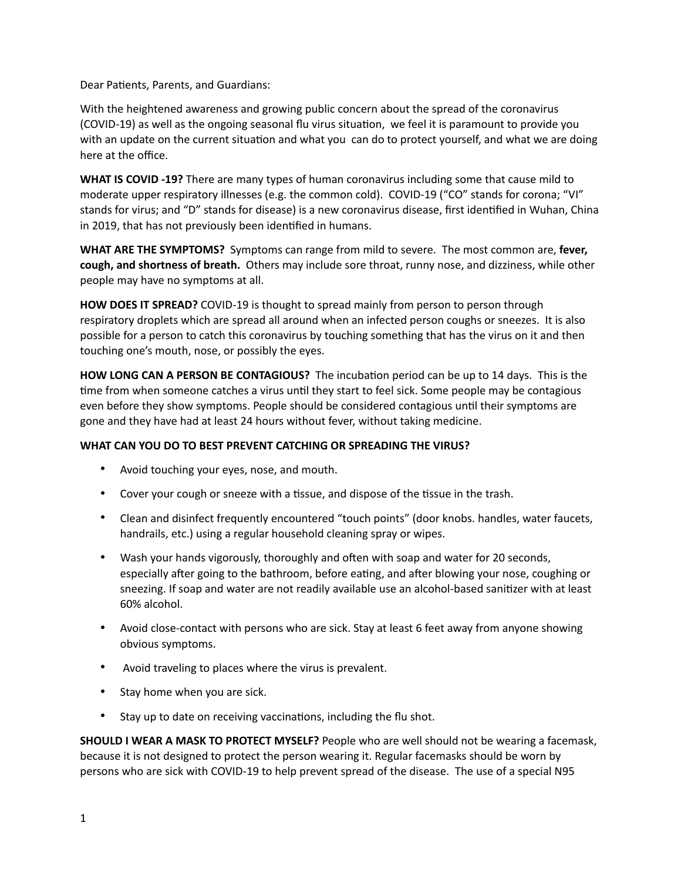Dear Patients, Parents, and Guardians:

With the heightened awareness and growing public concern about the spread of the coronavirus (COVID-19) as well as the ongoing seasonal flu virus situation, we feel it is paramount to provide you with an update on the current situation and what you can do to protect yourself, and what we are doing here at the office.

**WHAT IS COVID -19?** There are many types of human coronavirus including some that cause mild to moderate upper respiratory illnesses (e.g. the common cold). COVID-19 ("CO" stands for corona; "VI" stands for virus; and "D" stands for disease) is a new coronavirus disease, first identified in Wuhan, China in 2019, that has not previously been identified in humans.

**WHAT ARE THE SYMPTOMS?** Symptoms can range from mild to severe. The most common are, **fever, cough, and shortness of breath.** Others may include sore throat, runny nose, and dizziness, while other people may have no symptoms at all.

**HOW DOES IT SPREAD?** COVID-19 is thought to spread mainly from person to person through respiratory droplets which are spread all around when an infected person coughs or sneezes. It is also possible for a person to catch this coronavirus by touching something that has the virus on it and then touching one's mouth, nose, or possibly the eyes.

**HOW LONG CAN A PERSON BE CONTAGIOUS?** The incubation period can be up to 14 days. This is the time from when someone catches a virus until they start to feel sick. Some people may be contagious even before they show symptoms. People should be considered contagious until their symptoms are gone and they have had at least 24 hours without fever, without taking medicine.

## **WHAT CAN YOU DO TO BEST PREVENT CATCHING OR SPREADING THE VIRUS?**

- Avoid touching your eyes, nose, and mouth.
- Cover your cough or sneeze with a tissue, and dispose of the tissue in the trash.
- Clean and disinfect frequently encountered "touch points" (door knobs. handles, water faucets, handrails, etc.) using a regular household cleaning spray or wipes.
- Wash your hands vigorously, thoroughly and often with soap and water for 20 seconds, especially after going to the bathroom, before eating, and after blowing your nose, coughing or sneezing. If soap and water are not readily available use an alcohol-based sanitizer with at least 60% alcohol.
- Avoid close-contact with persons who are sick. Stay at least 6 feet away from anyone showing obvious symptoms.
- Avoid traveling to places where the virus is prevalent.
- Stay home when you are sick.
- Stay up to date on receiving vaccinations, including the flu shot.

**SHOULD I WEAR A MASK TO PROTECT MYSELF?** People who are well should not be wearing a facemask, because it is not designed to protect the person wearing it. Regular facemasks should be worn by persons who are sick with COVID-19 to help prevent spread of the disease. The use of a special N95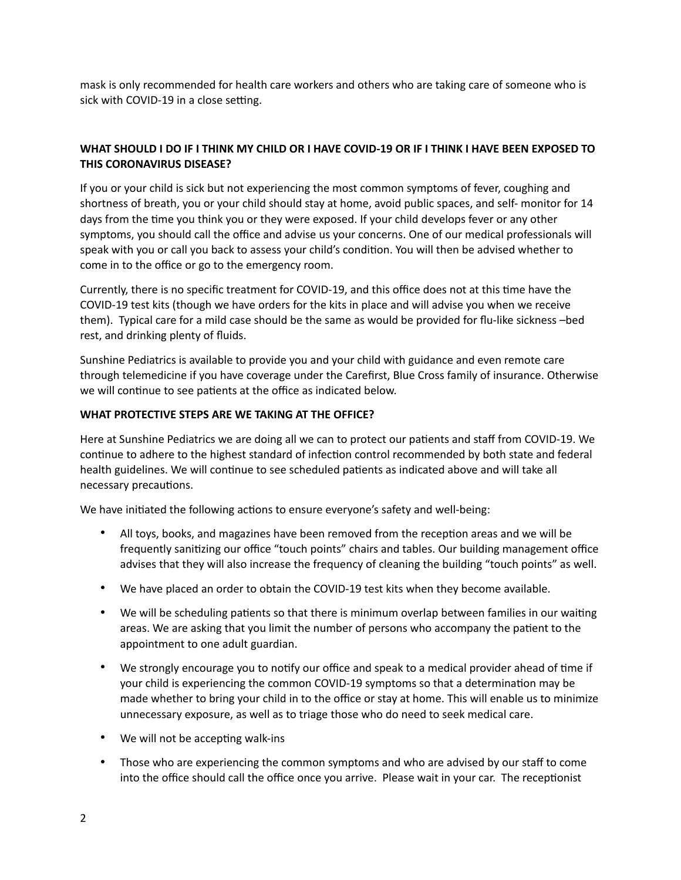mask is only recommended for health care workers and others who are taking care of someone who is sick with COVID-19 in a close setting.

## **WHAT SHOULD I DO IF I THINK MY CHILD OR I HAVE COVID-19 OR IF I THINK I HAVE BEEN EXPOSED TO THIS CORONAVIRUS DISEASE?**

If you or your child is sick but not experiencing the most common symptoms of fever, coughing and shortness of breath, you or your child should stay at home, avoid public spaces, and self- monitor for 14 days from the time you think you or they were exposed. If your child develops fever or any other symptoms, you should call the office and advise us your concerns. One of our medical professionals will speak with you or call you back to assess your child's condition. You will then be advised whether to come in to the office or go to the emergency room.

Currently, there is no specific treatment for COVID-19, and this office does not at this time have the COVID-19 test kits (though we have orders for the kits in place and will advise you when we receive them). Typical care for a mild case should be the same as would be provided for flu-like sickness –bed rest, and drinking plenty of fluids.

Sunshine Pediatrics is available to provide you and your child with guidance and even remote care through telemedicine if you have coverage under the Carefirst, Blue Cross family of insurance. Otherwise we will continue to see patients at the office as indicated below.

## **WHAT PROTECTIVE STEPS ARE WE TAKING AT THE OFFICE?**

Here at Sunshine Pediatrics we are doing all we can to protect our patients and staff from COVID-19. We continue to adhere to the highest standard of infection control recommended by both state and federal health guidelines. We will continue to see scheduled patients as indicated above and will take all necessary precautions.

We have initiated the following actions to ensure everyone's safety and well-being:

- All toys, books, and magazines have been removed from the reception areas and we will be frequently sanitizing our office "touch points" chairs and tables. Our building management office advises that they will also increase the frequency of cleaning the building "touch points" as well.
- We have placed an order to obtain the COVID-19 test kits when they become available.
- We will be scheduling patients so that there is minimum overlap between families in our waiting areas. We are asking that you limit the number of persons who accompany the patient to the appointment to one adult guardian.
- We strongly encourage you to notify our office and speak to a medical provider ahead of time if your child is experiencing the common COVID-19 symptoms so that a determination may be made whether to bring your child in to the office or stay at home. This will enable us to minimize unnecessary exposure, as well as to triage those who do need to seek medical care.
- We will not be accepting walk-ins
- Those who are experiencing the common symptoms and who are advised by our staff to come into the office should call the office once you arrive. Please wait in your car. The receptionist